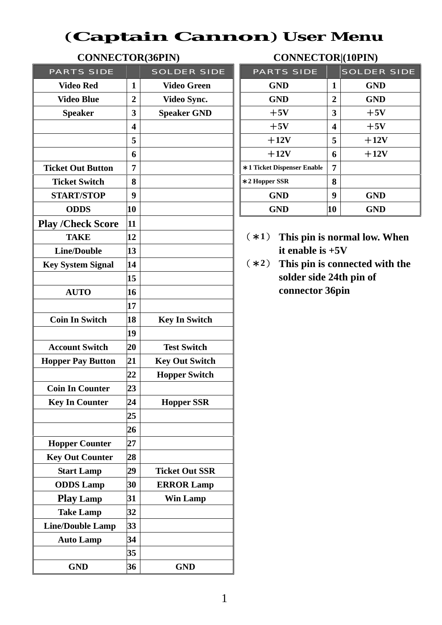### (**Captain Cannon**) **User Menu**

|                                         |                         |                       |                            |                    |                         | $\sim$                         |  |  |
|-----------------------------------------|-------------------------|-----------------------|----------------------------|--------------------|-------------------------|--------------------------------|--|--|
| <b>PARTS SIDE</b><br><b>SOLDER SIDE</b> |                         | <b>PARTS SIDE</b>     |                            | <b>SOLDER SIDE</b> |                         |                                |  |  |
| <b>Video Red</b>                        | $\mathbf{1}$            | <b>Video Green</b>    | <b>GND</b>                 |                    | $\mathbf{1}$            | <b>GND</b>                     |  |  |
| <b>Video Blue</b>                       | $\overline{2}$          | Video Sync.           | <b>GND</b>                 |                    | $\overline{2}$          | <b>GND</b>                     |  |  |
| <b>Speaker</b>                          | 3                       | <b>Speaker GND</b>    | $+5V$                      |                    |                         | $+5V$                          |  |  |
|                                         | $\overline{\mathbf{4}}$ |                       | $+5V$                      |                    | $\overline{\mathbf{4}}$ | $+5V$                          |  |  |
|                                         | 5                       |                       | $+12V$                     |                    | 5                       | $+12V$                         |  |  |
|                                         | 6                       |                       | $+12V$                     |                    | 6                       | $+12V$                         |  |  |
| <b>Ticket Out Button</b>                | $\overline{7}$          |                       | *1 Ticket Dispenser Enable |                    | $\overline{7}$          |                                |  |  |
| <b>Ticket Switch</b>                    | 8                       |                       | *2 Hopper SSR              |                    | 8                       |                                |  |  |
| <b>START/STOP</b>                       | $\boldsymbol{9}$        |                       | <b>GND</b>                 |                    | $\boldsymbol{9}$        | <b>GND</b>                     |  |  |
| <b>ODDS</b>                             | 10                      |                       | <b>GND</b>                 |                    | 10                      | <b>GND</b>                     |  |  |
| <b>Play /Check Score</b>                | 11                      |                       |                            |                    |                         |                                |  |  |
| <b>TAKE</b>                             | 12                      |                       | $(*1)$                     |                    |                         | This pin is normal low. When   |  |  |
| <b>Line/Double</b>                      | 13                      |                       | it enable is $+5V$         |                    |                         |                                |  |  |
| <b>Key System Signal</b>                | 14                      |                       | $(*2)$                     |                    |                         | This pin is connected with the |  |  |
|                                         | 15                      |                       |                            |                    |                         | solder side 24th pin of        |  |  |
| <b>AUTO</b>                             | 16                      |                       | connector 36pin            |                    |                         |                                |  |  |
|                                         | 17                      |                       |                            |                    |                         |                                |  |  |
| <b>Coin In Switch</b>                   | 18                      | <b>Key In Switch</b>  |                            |                    |                         |                                |  |  |
|                                         | 19                      |                       |                            |                    |                         |                                |  |  |
| <b>Account Switch</b>                   | 20                      | <b>Test Switch</b>    |                            |                    |                         |                                |  |  |
| <b>Hopper Pay Button</b>                | 21                      | <b>Key Out Switch</b> |                            |                    |                         |                                |  |  |
|                                         | 22                      | <b>Hopper Switch</b>  |                            |                    |                         |                                |  |  |
| <b>Coin In Counter</b>                  | 23                      |                       |                            |                    |                         |                                |  |  |
| <b>Key In Counter</b>                   | 24                      | <b>Hopper SSR</b>     |                            |                    |                         |                                |  |  |
|                                         | 25                      |                       |                            |                    |                         |                                |  |  |
|                                         | 26                      |                       |                            |                    |                         |                                |  |  |
| <b>Hopper Counter</b>                   | 27                      |                       |                            |                    |                         |                                |  |  |
| <b>Key Out Counter</b>                  | 28                      |                       |                            |                    |                         |                                |  |  |
| <b>Start Lamp</b>                       | 29                      | <b>Ticket Out SSR</b> |                            |                    |                         |                                |  |  |
| <b>ODDS</b> Lamp                        | 30                      | <b>ERROR Lamp</b>     |                            |                    |                         |                                |  |  |
| <b>Play Lamp</b>                        | 31                      | <b>Win Lamp</b>       |                            |                    |                         |                                |  |  |
| <b>Take Lamp</b>                        | 32                      |                       |                            |                    |                         |                                |  |  |
| <b>Line/Double Lamp</b>                 | 33                      |                       |                            |                    |                         |                                |  |  |
| <b>Auto Lamp</b>                        | 34                      |                       |                            |                    |                         |                                |  |  |
|                                         | 35                      |                       |                            |                    |                         |                                |  |  |
| <b>GND</b>                              | 36                      | <b>GND</b>            |                            |                    |                         |                                |  |  |

### **CONNECTOR(36PIN) CONNECTOR|(10PIN)**

|                | <b>SOLDER SIDE</b> | <b>PARTS SIDE</b>          |                         | <b>SOLDER SIDE</b> |
|----------------|--------------------|----------------------------|-------------------------|--------------------|
| 1              | <b>Video Green</b> | <b>GND</b>                 | 1                       | <b>GND</b>         |
| $\overline{2}$ | Video Sync.        | <b>GND</b>                 | $\overline{2}$          | <b>GND</b>         |
| 3              | <b>Speaker GND</b> | $+5V$                      | 3                       | $+5V$              |
| 4              |                    | $+5V$                      | $\overline{\mathbf{4}}$ | $+5V$              |
| 5              |                    | $+12V$                     | 5                       | $+12V$             |
| 6              |                    | $+12V$                     | 6                       | $+12V$             |
| 7              |                    | *1 Ticket Dispenser Enable | 7                       |                    |
| 8              |                    | $*2$ Hopper SSR            | 8                       |                    |
| 9              |                    | <b>GND</b>                 | 9                       | <b>GND</b>         |
| $\bf{0}$       |                    | <b>GND</b>                 | 10                      | <b>GND</b>         |

- $(*1)$  This pin is normal low. When **it enable is**  $+5V$
- $(*2)$  This pin is connected with the **15 solder side 24th pin of connector 36pin**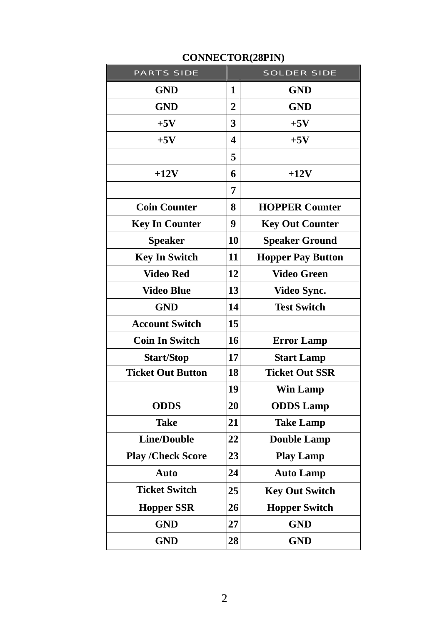| <b>PARTS SIDE</b>        |                  | <b>SOLDER SIDE</b>       |
|--------------------------|------------------|--------------------------|
| <b>GND</b>               | 1                | <b>GND</b>               |
| <b>GND</b>               | $\overline{2}$   | <b>GND</b>               |
| $+5V$                    | 3                | $+5V$                    |
| $+5V$                    | $\boldsymbol{4}$ | $+5V$                    |
|                          | 5                |                          |
| $+12V$                   | 6                | $+12V$                   |
|                          | 7                |                          |
| <b>Coin Counter</b>      | 8                | <b>HOPPER Counter</b>    |
| <b>Key In Counter</b>    | 9                | <b>Key Out Counter</b>   |
| <b>Speaker</b>           | 10               | <b>Speaker Ground</b>    |
| <b>Key In Switch</b>     | 11               | <b>Hopper Pay Button</b> |
| <b>Video Red</b>         | 12               | <b>Video Green</b>       |
| <b>Video Blue</b>        | 13               | Video Sync.              |
| <b>GND</b>               | 14               | <b>Test Switch</b>       |
| <b>Account Switch</b>    | 15               |                          |
| <b>Coin In Switch</b>    | 16               | <b>Error Lamp</b>        |
| <b>Start/Stop</b>        | 17               | <b>Start Lamp</b>        |
| <b>Ticket Out Button</b> | 18               | <b>Ticket Out SSR</b>    |
|                          | 19               | <b>Win Lamp</b>          |
| <b>ODDS</b>              | 20               | <b>ODDS</b> Lamp         |
| Take                     |                  | <b>Take Lamp</b>         |
| <b>Line/Double</b>       | 22               | <b>Double Lamp</b>       |
| <b>Play /Check Score</b> | 23               | <b>Play Lamp</b>         |
| <b>Auto</b>              | 24               | <b>Auto Lamp</b>         |
| <b>Ticket Switch</b>     | 25               | <b>Key Out Switch</b>    |
| <b>Hopper SSR</b>        | 26               | <b>Hopper Switch</b>     |
| <b>GND</b>               | 27               | <b>GND</b>               |
| <b>GND</b>               | 28               | <b>GND</b>               |

#### **CONNECTOR(28PIN)**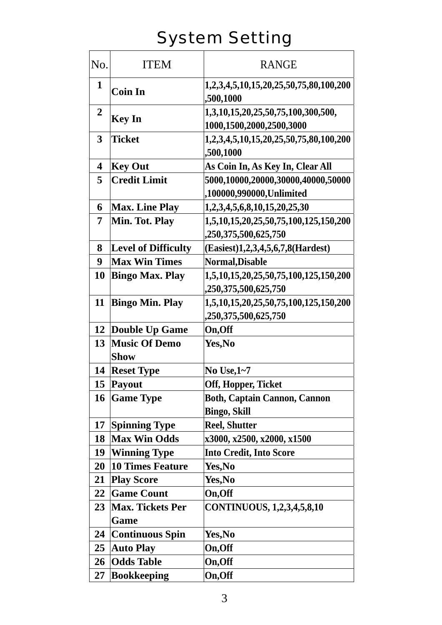# System Setting

| No.              | <b>ITEM</b>                         | <b>RANGE</b>                                                   |  |  |  |  |
|------------------|-------------------------------------|----------------------------------------------------------------|--|--|--|--|
| $\mathbf{1}$     | <b>Coin In</b>                      | 1,2,3,4,5,10,15,20,25,50,75,80,100,200<br>,500,1000            |  |  |  |  |
| $\boldsymbol{2}$ | <b>Key In</b>                       | 1,3,10,15,20,25,50,75,100,300,500,<br>1000,1500,2000,2500,3000 |  |  |  |  |
| 3                | <b>Ticket</b>                       | 1,2,3,4,5,10,15,20,25,50,75,80,100,200<br>,500,1000            |  |  |  |  |
| 4                | <b>Key Out</b>                      | As Coin In, As Key In, Clear All                               |  |  |  |  |
| 5                | <b>Credit Limit</b>                 | 5000,10000,20000,30000,40000,50000                             |  |  |  |  |
|                  |                                     | ,100000,990000,Unlimited                                       |  |  |  |  |
| 6                | <b>Max. Line Play</b>               | 1,2,3,4,5,6,8,10,15,20,25,30                                   |  |  |  |  |
| 7                | Min. Tot. Play                      | 1,5,10,15,20,25,50,75,100,125,150,200<br>,250,375,500,625,750  |  |  |  |  |
| 8                | <b>Level of Difficulty</b>          | (Easiest)1,2,3,4,5,6,7,8(Hardest)                              |  |  |  |  |
| 9                | <b>Max Win Times</b>                | Normal, Disable                                                |  |  |  |  |
| 10               | <b>Bingo Max. Play</b>              | 1,5,10,15,20,25,50,75,100,125,150,200                          |  |  |  |  |
|                  |                                     | ,250,375,500,625,750                                           |  |  |  |  |
| 11               | <b>Bingo Min. Play</b>              | 1,5,10,15,20,25,50,75,100,125,150,200                          |  |  |  |  |
|                  |                                     | ,250,375,500,625,750                                           |  |  |  |  |
| 12               | Double Up Game                      | On, Off                                                        |  |  |  |  |
| 13               | <b>Music Of Demo</b><br><b>Show</b> | Yes, No                                                        |  |  |  |  |
| 14               | <b>Reset Type</b>                   | No Use, $1-7$                                                  |  |  |  |  |
|                  | 15 Payout                           | Off, Hopper, Ticket                                            |  |  |  |  |
| 16               | <b>Game Type</b>                    | <b>Both, Captain Cannon, Cannon</b><br><b>Bingo, Skill</b>     |  |  |  |  |
| 17               | <b>Spinning Type</b>                | <b>Reel, Shutter</b>                                           |  |  |  |  |
| 18               | <b>Max Win Odds</b>                 | x3000, x2500, x2000, x1500                                     |  |  |  |  |
| 19               | <b>Winning Type</b>                 | <b>Into Credit, Into Score</b>                                 |  |  |  |  |
| 20               | 10 Times Feature                    | Yes, No                                                        |  |  |  |  |
| 21               | <b>Play Score</b>                   | Yes,No                                                         |  |  |  |  |
| 22               | <b>Game Count</b>                   | On, Off                                                        |  |  |  |  |
| 23               | <b>Max. Tickets Per</b>             | CONTINUOUS, 1,2,3,4,5,8,10                                     |  |  |  |  |
|                  | Game                                |                                                                |  |  |  |  |
| 24               | <b>Continuous Spin</b>              | Yes,No                                                         |  |  |  |  |
| 25               | <b>Auto Play</b>                    | On,Off                                                         |  |  |  |  |
| 26               | <b>Odds Table</b>                   | On, Off                                                        |  |  |  |  |
| 27               | <b>Bookkeeping</b>                  | On, Off                                                        |  |  |  |  |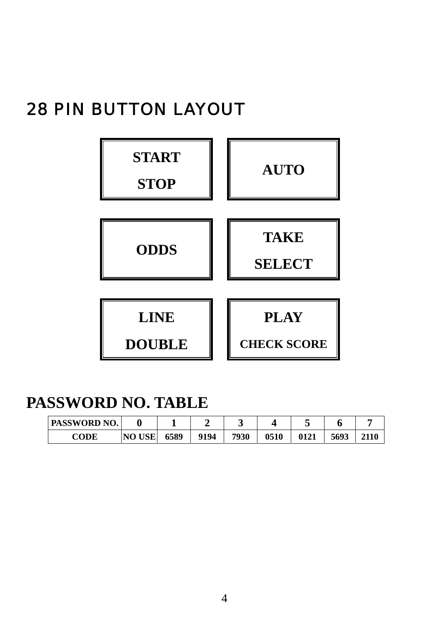# 28 PIN BUTTON LAYOUT



## **PASSWORD NO. TABLE**

| <b>PASSWORD NO.</b> |               |      |      |      |      |      |      |  |
|---------------------|---------------|------|------|------|------|------|------|--|
| <b>CODE</b>         | <b>NO USE</b> | 6589 | 9194 | 7930 | 0510 | 0121 | 5693 |  |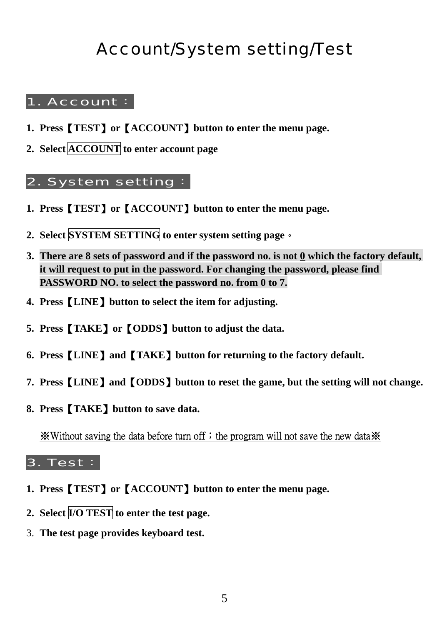# Account/System setting/Test

#### 1. Account:

- **1. Press**【**TEST**】**or**【**ACCOUNT**】**button to enter the menu page.**
- **2. Select ACCOUNT to enter account page**

#### 2. System setting:

- **1. Press**【**TEST**】**or**【**ACCOUNT**】**button to enter the menu page.**
- **2. Select SYSTEM SETTING to enter system setting page**。
- **3. There are 8 sets of password and if the password no. is not 0 which the factory default, it will request to put in the password. For changing the password, please find PASSWORD NO. to select the password no. from 0 to 7.**
- **4. Press**【**LINE**】**button to select the item for adjusting.**
- **5. Press**【**TAKE**】**or**【**ODDS**】**button to adjust the data.**
- **6. Press**【**LINE**】**and**【**TAKE**】**button for returning to the factory default.**
- **7. Press**【**LINE**】**and**【**ODDS**】**button to reset the game, but the setting will not change.**
- **8. Press**【**TAKE**】**button to save data.**

**※Without saving the data before turn off; the program will not save the new data ※** 

#### 3. Test:

- **1. Press**【**TEST**】**or**【**ACCOUNT**】**button to enter the menu page.**
- **2. Select I/O TEST to enter the test page.**
- 3. **The test page provides keyboard test.**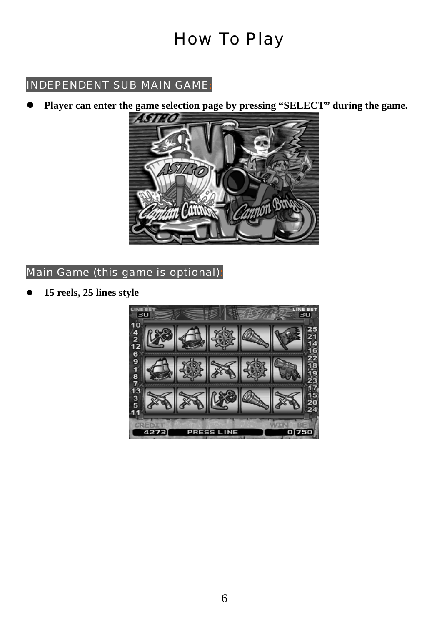# How To Play

### INDEPENDENT SUB MAIN GAME:

Player can enter the game selection page by pressing "SELECT" during the game.



#### Main Game (this game is optional):

z **15 reels, 25 lines style**

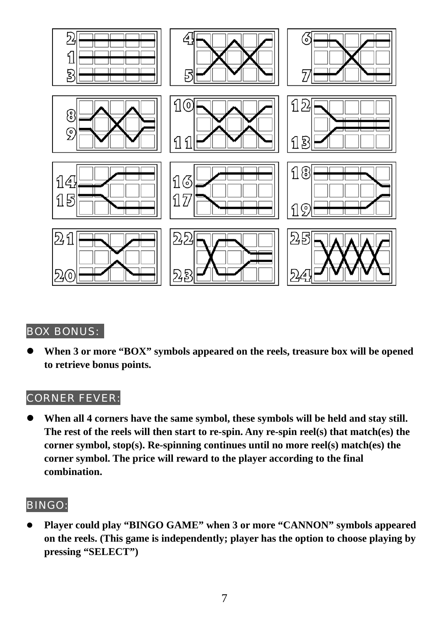

#### BOX BONUS:

When 3 or more "BOX" symbols appeared on the reels, treasure box will be opened **to retrieve bonus points.** 

#### CORNER FEVER:

When all 4 corners have the same symbol, these symbols will be held and stay still. **The rest of the reels will then start to re-spin. Any re-spin reel(s) that match(es) the corner symbol, stop(s). Re-spinning continues until no more reel(s) match(es) the corner symbol. The price will reward to the player according to the final combination.** 

#### BINGO:

Player could play "BINGO GAME" when 3 or more "CANNON" symbols appeared **on the reels. (This game is independently; player has the option to choose playing by pressing "SELECT")**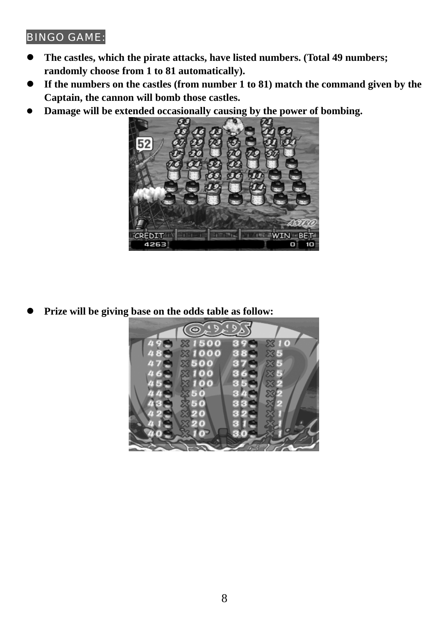#### BINGO GAME:

- The castles, which the pirate attacks, have listed numbers. (Total 49 numbers; **randomly choose from 1 to 81 automatically).**
- If the numbers on the castles (from number 1 to 81) match the command given by the **Captain, the cannon will bomb those castles.**
- **•** Damage will be extended occasionally causing by the power of bombing.



Prize will be giving base on the odds table as follow: